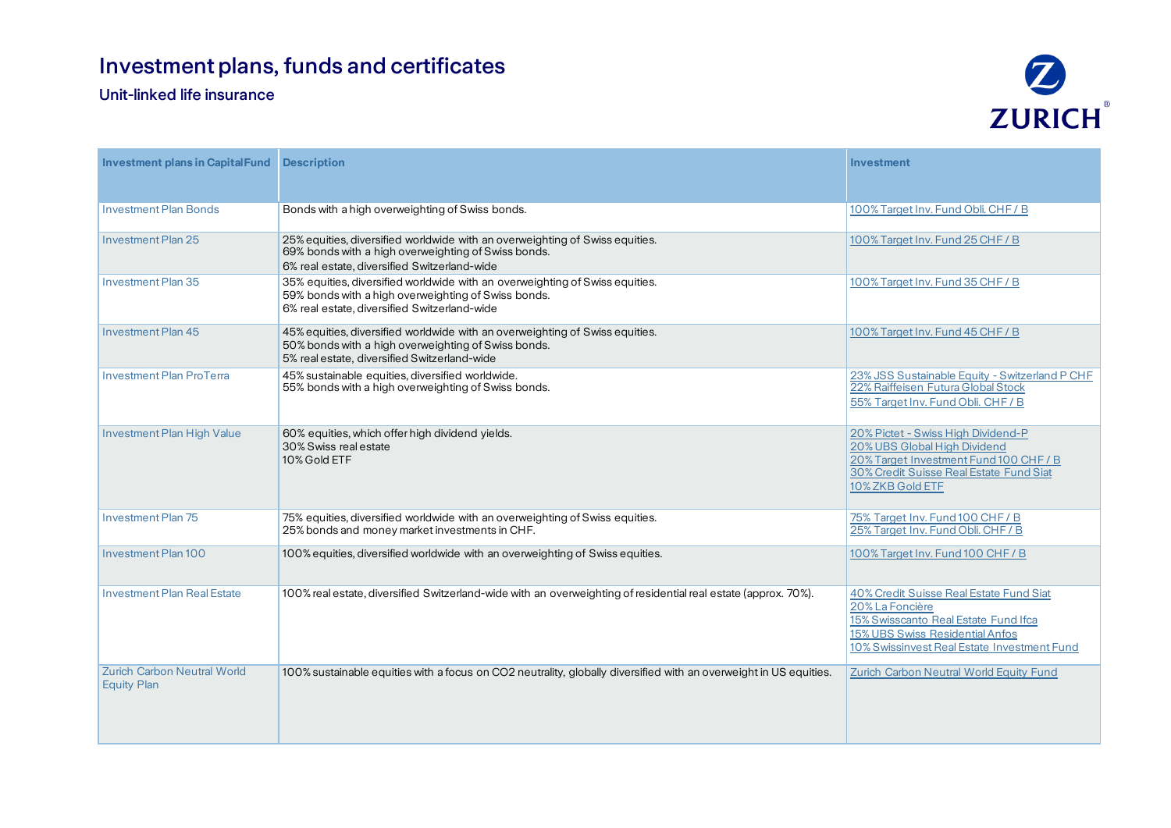## Investment plans, funds and certificates

## Unit-linked life insurance



| <b>Investment plans in Capital Fund Description</b>      |                                                                                                                                                                                     | Investment                                                                                                                                                                           |
|----------------------------------------------------------|-------------------------------------------------------------------------------------------------------------------------------------------------------------------------------------|--------------------------------------------------------------------------------------------------------------------------------------------------------------------------------------|
| <b>Investment Plan Bonds</b>                             | Bonds with a high overweighting of Swiss bonds.                                                                                                                                     | 100% Target Inv. Fund Obli. CHF / B                                                                                                                                                  |
| <b>Investment Plan 25</b>                                | 25% equities, diversified worldwide with an overweighting of Swiss equities.<br>69% bonds with a high overweighting of Swiss bonds.<br>6% real estate, diversified Switzerland-wide | 100% Target Inv. Fund 25 CHF / B                                                                                                                                                     |
| <b>Investment Plan 35</b>                                | 35% equities, diversified worldwide with an overweighting of Swiss equities.<br>59% bonds with a high overweighting of Swiss bonds.<br>6% real estate, diversified Switzerland-wide | 100% Target Inv. Fund 35 CHF / B                                                                                                                                                     |
| <b>Investment Plan 45</b>                                | 45% equities, diversified worldwide with an overweighting of Swiss equities.<br>50% bonds with a high overweighting of Swiss bonds.<br>5% real estate, diversified Switzerland-wide | 100% Target Inv. Fund 45 CHF / B                                                                                                                                                     |
| <b>Investment Plan ProTerra</b>                          | 45% sustainable equities, diversified worldwide.<br>55% bonds with a high overweighting of Swiss bonds.                                                                             | 23% JSS Sustainable Equity - Switzerland P CHF<br>22% Raiffeisen Futura Global Stock<br>55% Target Inv. Fund Obli. CHF / B                                                           |
| Investment Plan High Value                               | 60% equities, which offer high dividend yields.<br>30% Swiss real estate<br>10% Gold ETF                                                                                            | 20% Pictet - Swiss High Dividend-P<br>20% UBS Global High Dividend<br>20% Target Investment Fund 100 CHF / B<br>30% Credit Suisse Real Estate Fund Siat<br>10% ZKB Gold ETF          |
| <b>Investment Plan 75</b>                                | 75% equities, diversified worldwide with an overweighting of Swiss equities.<br>25% bonds and money market investments in CHF.                                                      | 75% Target Inv. Fund 100 CHF / B<br>25% Target Inv. Fund Obli. CHF / B                                                                                                               |
| <b>Investment Plan 100</b>                               | 100% equities, diversified worldwide with an overweighting of Swiss equities.                                                                                                       | 100% Target Inv. Fund 100 CHF / B                                                                                                                                                    |
| <b>Investment Plan Real Estate</b>                       | 100% real estate, diversified Switzerland-wide with an overweighting of residential real estate (approx. 70%).                                                                      | 40% Credit Suisse Real Estate Fund Siat<br>20% La Foncière<br>15% Swisscanto Real Estate Fund Ifca<br>15% UBS Swiss Residential Anfos<br>10% Swissinvest Real Estate Investment Fund |
| <b>Zurich Carbon Neutral World</b><br><b>Equity Plan</b> | 100% sustainable equities with a focus on CO2 neutrality, globally diversified with an overweight in US equities.                                                                   | Zurich Carbon Neutral World Equity Fund                                                                                                                                              |